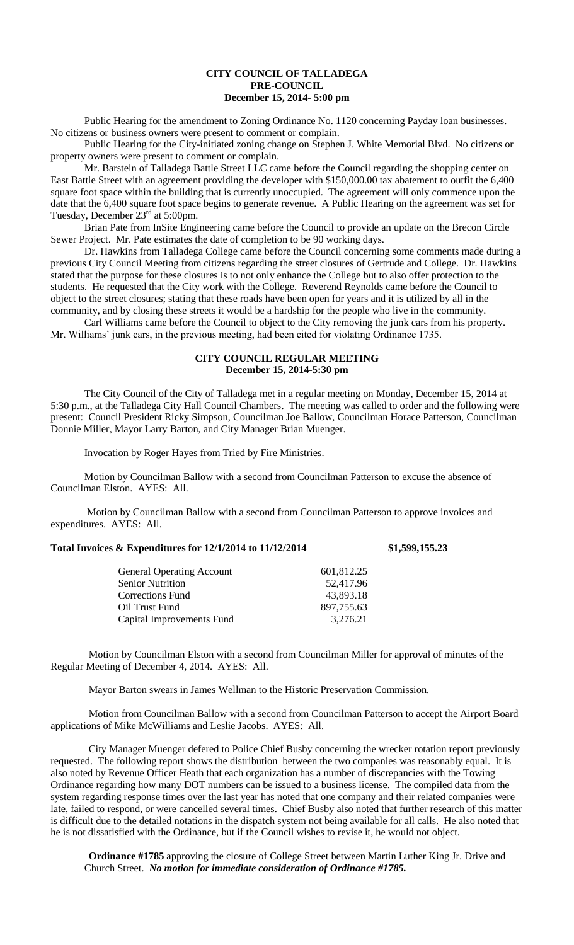## **CITY COUNCIL OF TALLADEGA PRE-COUNCIL December 15, 2014- 5:00 pm**

Public Hearing for the amendment to Zoning Ordinance No. 1120 concerning Payday loan businesses. No citizens or business owners were present to comment or complain.

Public Hearing for the City-initiated zoning change on Stephen J. White Memorial Blvd. No citizens or property owners were present to comment or complain.

Mr. Barstein of Talladega Battle Street LLC came before the Council regarding the shopping center on East Battle Street with an agreement providing the developer with \$150,000.00 tax abatement to outfit the 6,400 square foot space within the building that is currently unoccupied. The agreement will only commence upon the date that the 6,400 square foot space begins to generate revenue. A Public Hearing on the agreement was set for Tuesday, December 23<sup>rd</sup> at 5:00pm.

Brian Pate from InSite Engineering came before the Council to provide an update on the Brecon Circle Sewer Project. Mr. Pate estimates the date of completion to be 90 working days.

Dr. Hawkins from Talladega College came before the Council concerning some comments made during a previous City Council Meeting from citizens regarding the street closures of Gertrude and College. Dr. Hawkins stated that the purpose for these closures is to not only enhance the College but to also offer protection to the students. He requested that the City work with the College. Reverend Reynolds came before the Council to object to the street closures; stating that these roads have been open for years and it is utilized by all in the community, and by closing these streets it would be a hardship for the people who live in the community.

Carl Williams came before the Council to object to the City removing the junk cars from his property. Mr. Williams' junk cars, in the previous meeting, had been cited for violating Ordinance 1735.

## **CITY COUNCIL REGULAR MEETING December 15, 2014-5:30 pm**

The City Council of the City of Talladega met in a regular meeting on Monday, December 15, 2014 at 5:30 p.m., at the Talladega City Hall Council Chambers. The meeting was called to order and the following were present: Council President Ricky Simpson, Councilman Joe Ballow, Councilman Horace Patterson, Councilman Donnie Miller, Mayor Larry Barton, and City Manager Brian Muenger.

Invocation by Roger Hayes from Tried by Fire Ministries.

Motion by Councilman Ballow with a second from Councilman Patterson to excuse the absence of Councilman Elston. AYES: All.

Motion by Councilman Ballow with a second from Councilman Patterson to approve invoices and expenditures. AYES: All.

## **Total Invoices & Expenditures for 12/1/2014 to 11/12/2014 \$1,599,155.23**

| <b>General Operating Account</b> | 601,812.25 |
|----------------------------------|------------|
| <b>Senior Nutrition</b>          | 52,417.96  |
| Corrections Fund                 | 43,893.18  |
| Oil Trust Fund                   | 897,755.63 |
| Capital Improvements Fund        | 3,276.21   |
|                                  |            |

Motion by Councilman Elston with a second from Councilman Miller for approval of minutes of the Regular Meeting of December 4, 2014. AYES: All.

Mayor Barton swears in James Wellman to the Historic Preservation Commission.

Motion from Councilman Ballow with a second from Councilman Patterson to accept the Airport Board applications of Mike McWilliams and Leslie Jacobs. AYES: All.

City Manager Muenger defered to Police Chief Busby concerning the wrecker rotation report previously requested. The following report shows the distribution between the two companies was reasonably equal. It is also noted by Revenue Officer Heath that each organization has a number of discrepancies with the Towing Ordinance regarding how many DOT numbers can be issued to a business license. The compiled data from the system regarding response times over the last year has noted that one company and their related companies were late, failed to respond, or were cancelled several times. Chief Busby also noted that further research of this matter is difficult due to the detailed notations in the dispatch system not being available for all calls. He also noted that he is not dissatisfied with the Ordinance, but if the Council wishes to revise it, he would not object.

**Ordinance #1785** approving the closure of College Street between Martin Luther King Jr. Drive and Church Street. *No motion for immediate consideration of Ordinance #1785.*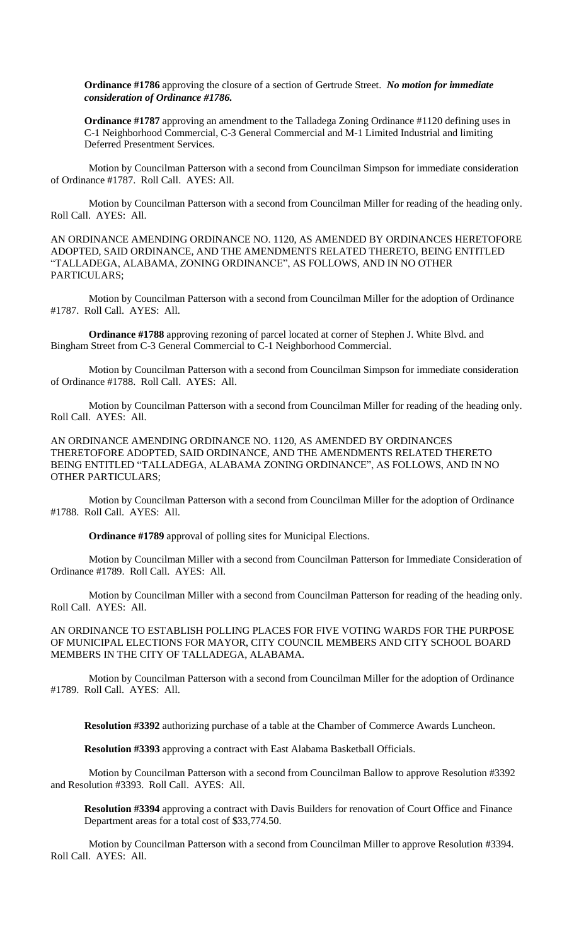**Ordinance #1786** approving the closure of a section of Gertrude Street. *No motion for immediate consideration of Ordinance #1786.*

**Ordinance #1787** approving an amendment to the Talladega Zoning Ordinance #1120 defining uses in C-1 Neighborhood Commercial, C-3 General Commercial and M-1 Limited Industrial and limiting Deferred Presentment Services.

Motion by Councilman Patterson with a second from Councilman Simpson for immediate consideration of Ordinance #1787. Roll Call. AYES: All.

Motion by Councilman Patterson with a second from Councilman Miller for reading of the heading only. Roll Call. AYES: All.

AN ORDINANCE AMENDING ORDINANCE NO. 1120, AS AMENDED BY ORDINANCES HERETOFORE ADOPTED, SAID ORDINANCE, AND THE AMENDMENTS RELATED THERETO, BEING ENTITLED "TALLADEGA, ALABAMA, ZONING ORDINANCE", AS FOLLOWS, AND IN NO OTHER PARTICULARS;

Motion by Councilman Patterson with a second from Councilman Miller for the adoption of Ordinance #1787. Roll Call. AYES: All.

**Ordinance #1788** approving rezoning of parcel located at corner of Stephen J. White Blvd. and Bingham Street from C-3 General Commercial to C-1 Neighborhood Commercial.

Motion by Councilman Patterson with a second from Councilman Simpson for immediate consideration of Ordinance #1788. Roll Call. AYES: All.

Motion by Councilman Patterson with a second from Councilman Miller for reading of the heading only. Roll Call. AYES: All.

AN ORDINANCE AMENDING ORDINANCE NO. 1120, AS AMENDED BY ORDINANCES THERETOFORE ADOPTED, SAID ORDINANCE, AND THE AMENDMENTS RELATED THERETO BEING ENTITLED "TALLADEGA, ALABAMA ZONING ORDINANCE", AS FOLLOWS, AND IN NO OTHER PARTICULARS;

Motion by Councilman Patterson with a second from Councilman Miller for the adoption of Ordinance #1788. Roll Call. AYES: All.

**Ordinance #1789** approval of polling sites for Municipal Elections.

Motion by Councilman Miller with a second from Councilman Patterson for Immediate Consideration of Ordinance #1789. Roll Call. AYES: All.

Motion by Councilman Miller with a second from Councilman Patterson for reading of the heading only. Roll Call. AYES: All.

AN ORDINANCE TO ESTABLISH POLLING PLACES FOR FIVE VOTING WARDS FOR THE PURPOSE OF MUNICIPAL ELECTIONS FOR MAYOR, CITY COUNCIL MEMBERS AND CITY SCHOOL BOARD MEMBERS IN THE CITY OF TALLADEGA, ALABAMA.

Motion by Councilman Patterson with a second from Councilman Miller for the adoption of Ordinance #1789. Roll Call. AYES: All.

**Resolution #3392** authorizing purchase of a table at the Chamber of Commerce Awards Luncheon.

**Resolution #3393** approving a contract with East Alabama Basketball Officials.

Motion by Councilman Patterson with a second from Councilman Ballow to approve Resolution #3392 and Resolution #3393. Roll Call. AYES: All.

**Resolution #3394** approving a contract with Davis Builders for renovation of Court Office and Finance Department areas for a total cost of \$33,774.50.

Motion by Councilman Patterson with a second from Councilman Miller to approve Resolution #3394. Roll Call. AYES: All.